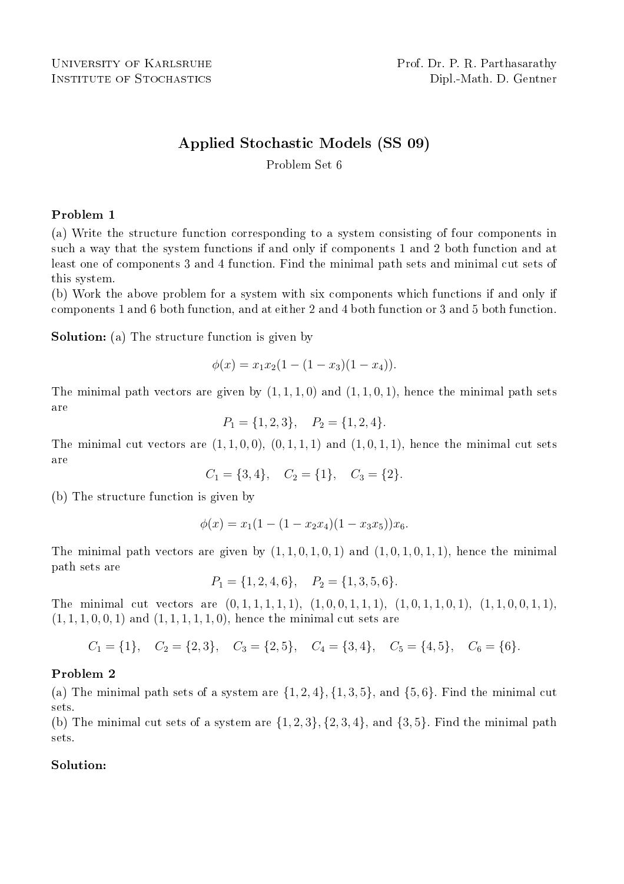# Applied Stochastic Models (SS 09)

Problem Set 6

### Problem 1

(a) Write the structure function corresponding to a system consisting of four components in such a way that the system functions if and only if components 1 and 2 both function and at least one of components 3 and 4 function. Find the minimal path sets and minimal cut sets of this system.

(b) Work the above problem for a system with six components which functions if and only if components 1 and 6 both function, and at either 2 and 4 both function or 3 and 5 both function.

Solution: (a) The structure function is given by

$$
\phi(x) = x_1 x_2 (1 - (1 - x_3)(1 - x_4)).
$$

The minimal path vectors are given by  $(1, 1, 1, 0)$  and  $(1, 1, 0, 1)$ , hence the minimal path sets are

$$
P_1 = \{1, 2, 3\}, \quad P_2 = \{1, 2, 4\}.
$$

The minimal cut vectors are  $(1, 1, 0, 0)$ ,  $(0, 1, 1, 1)$  and  $(1, 0, 1, 1)$ , hence the minimal cut sets are

 $C_1 = \{3, 4\}, \quad C_2 = \{1\}, \quad C_3 = \{2\}.$ 

(b) The structure function is given by

$$
\phi(x) = x_1(1 - (1 - x_2x_4)(1 - x_3x_5))x_6.
$$

The minimal path vectors are given by  $(1, 1, 0, 1, 0, 1)$  and  $(1, 0, 1, 0, 1, 1)$ , hence the minimal path sets are

$$
P_1 = \{1, 2, 4, 6\}, \quad P_2 = \{1, 3, 5, 6\}.
$$

The minimal cut vectors are  $(0, 1, 1, 1, 1, 1), (1, 0, 0, 1, 1, 1), (1, 0, 1, 1, 0, 1), (1, 1, 0, 0, 1, 1),$  $(1, 1, 1, 0, 0, 1)$  and  $(1, 1, 1, 1, 1, 0)$ , hence the minimal cut sets are

$$
C_1 = \{1\}, C_2 = \{2, 3\}, C_3 = \{2, 5\}, C_4 = \{3, 4\}, C_5 = \{4, 5\}, C_6 = \{6\}.
$$

### Problem 2

(a) The minimal path sets of a system are  $\{1, 2, 4\}$ ,  $\{1, 3, 5\}$ , and  $\{5, 6\}$ . Find the minimal cut sets.

(b) The minimal cut sets of a system are  $\{1, 2, 3\}$ ,  $\{2, 3, 4\}$ , and  $\{3, 5\}$ . Find the minimal path sets.

#### Solution: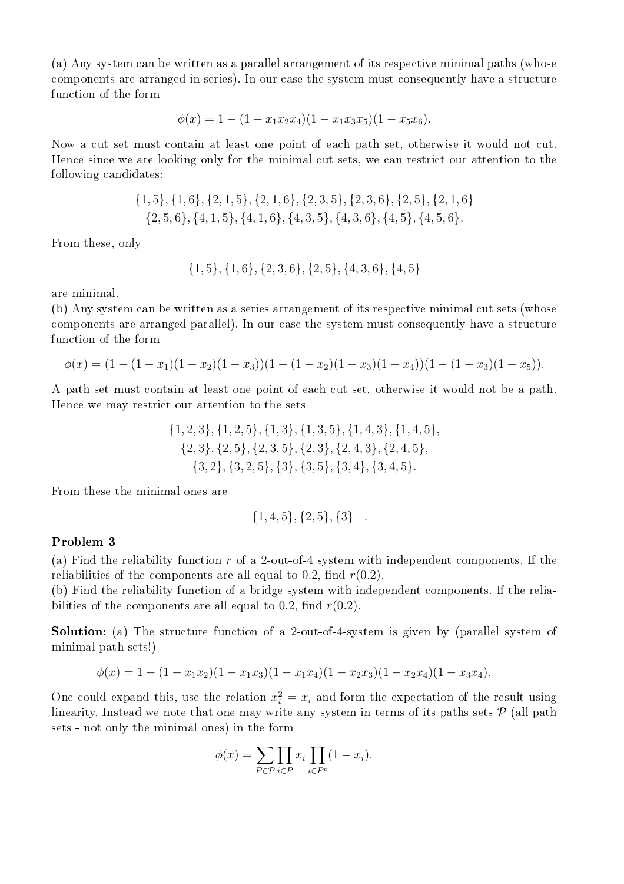(a) Any system can be written as a parallel arrangement of its respective minimal paths (whose components are arranged in series). In our case the system must consequently have a structure function of the form

$$
\phi(x) = 1 - (1 - x_1 x_2 x_4)(1 - x_1 x_3 x_5)(1 - x_5 x_6).
$$

Now a cut set must contain at least one point of each path set, otherwise it would not cut. Hence since we are looking only for the minimal cut sets, we can restrict our attention to the following candidates:

$$
{1, 5}, {1, 6}, {2, 1, 5}, {2, 1, 6}, {2, 3, 5}, {2, 3, 6}, {2, 5}, {2, 1, 6}{2, 5, 6}, {4, 1, 5}, {4, 1, 6}, {4, 3, 5}, {4, 3, 6}, {4, 5}, {4, 5, 6}.
$$

From these, only

$$
\{1,5\},\{1,6\},\{2,3,6\},\{2,5\},\{4,3,6\},\{4,5\}
$$

are minimal.

(b) Any system can be written as a series arrangement of its respective minimal cut sets (whose components are arranged parallel). In our case the system must consequently have a structure function of the form

$$
\phi(x) = (1 - (1 - x_1)(1 - x_2)(1 - x_3))(1 - (1 - x_2)(1 - x_3)(1 - x_4))(1 - (1 - x_3)(1 - x_5)).
$$

A path set must contain at least one point of each cut set, otherwise it would not be a path. Hence we may restrict our attention to the sets

$$
{1, 2, 3}, {1, 2, 5}, {1, 3}, {1, 3, 5}, {1, 4, 3}, {1, 4, 5}, {2, 3}, {2, 5}, {2, 3, 5}, {2, 3}, {2, 4, 3}, {2, 4, 5}, {3, 2}, {3, 2, 5}, {3}, {3, 5}, {3, 4}, {3, 4, 5}.
$$

From these the minimal ones are

$$
\{1,4,5\},\{2,5\},\{3\}.
$$

#### Problem 3

(a) Find the reliability function r of a 2-out-of-4 system with independent components. If the reliabilities of the components are all equal to 0.2, find  $r(0.2)$ .

(b) Find the reliability function of a bridge system with independent components. If the reliabilities of the components are all equal to 0.2, find  $r(0.2)$ .

Solution: (a) The structure function of a 2-out-of-4-system is given by (parallel system of minimal path sets!)

$$
\phi(x) = 1 - (1 - x_1 x_2)(1 - x_1 x_3)(1 - x_1 x_4)(1 - x_2 x_3)(1 - x_2 x_4)(1 - x_3 x_4).
$$

One could expand this, use the relation  $x_i^2 = x_i$  and form the expectation of the result using linearity. Instead we note that one may write any system in terms of its paths sets  $P$  (all path sets - not only the minimal ones) in the form

$$
\phi(x) = \sum_{P \in \mathcal{P}} \prod_{i \in P} x_i \prod_{i \in P^c} (1 - x_i).
$$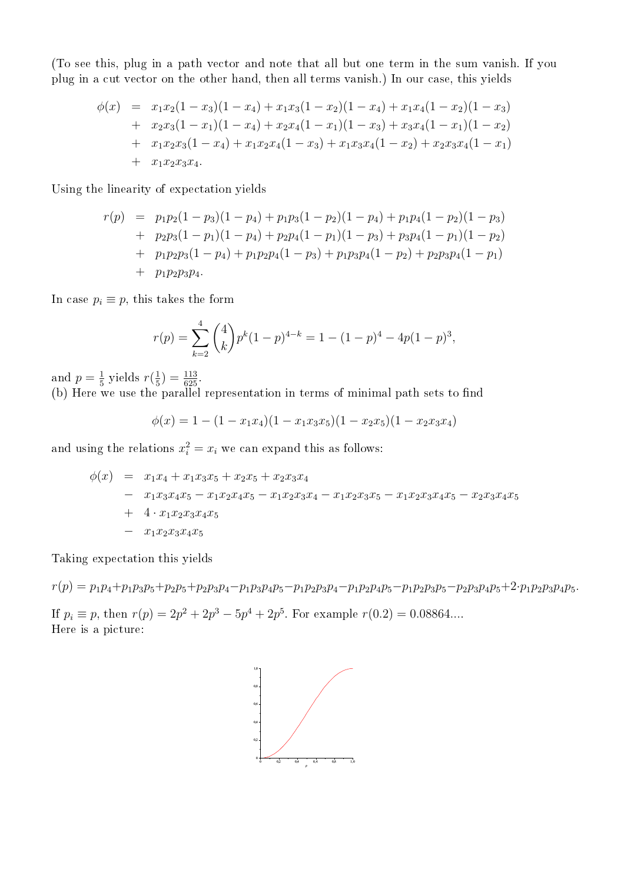(To see this, plug in a path vector and note that all but one term in the sum vanish. If you plug in a cut vector on the other hand, then all terms vanish.) In our case, this yields

$$
\begin{array}{rcl}\n\phi(x) & = & x_1 x_2 (1 - x_3)(1 - x_4) + x_1 x_3 (1 - x_2)(1 - x_4) + x_1 x_4 (1 - x_2)(1 - x_3) \\
& + & x_2 x_3 (1 - x_1)(1 - x_4) + x_2 x_4 (1 - x_1)(1 - x_3) + x_3 x_4 (1 - x_1)(1 - x_2) \\
& + & x_1 x_2 x_3 (1 - x_4) + x_1 x_2 x_4 (1 - x_3) + x_1 x_3 x_4 (1 - x_2) + x_2 x_3 x_4 (1 - x_1) \\
& + & x_1 x_2 x_3 x_4.\n\end{array}
$$

Using the linearity of expectation yields

$$
r(p) = p_1p_2(1-p_3)(1-p_4) + p_1p_3(1-p_2)(1-p_4) + p_1p_4(1-p_2)(1-p_3) + p_2p_3(1-p_1)(1-p_4) + p_2p_4(1-p_1)(1-p_3) + p_3p_4(1-p_1)(1-p_2) + p_1p_2p_3(1-p_4) + p_1p_2p_4(1-p_3) + p_1p_3p_4(1-p_2) + p_2p_3p_4(1-p_1) + p_1p_2p_3p_4.
$$

In case  $p_i \equiv p$ , this takes the form

$$
r(p) = \sum_{k=2}^{4} {4 \choose k} p^{k} (1-p)^{4-k} = 1 - (1-p)^{4} - 4p(1-p)^{3},
$$

and  $p=\frac{1}{5}$  $rac{1}{5}$  yields  $r(\frac{1}{5})$  $(\frac{1}{5}) = \frac{113}{625}.$ 

(b) Here we use the parallel representation in terms of minimal path sets to find

$$
\phi(x) = 1 - (1 - x_1 x_4)(1 - x_1 x_3 x_5)(1 - x_2 x_5)(1 - x_2 x_3 x_4)
$$

and using the relations  $x_i^2 = x_i$  we can expand this as follows:

$$
\begin{array}{rcl}\n\phi(x) & = & x_1x_4 + x_1x_3x_5 + x_2x_5 + x_2x_3x_4 \\
& - & x_1x_3x_4x_5 - x_1x_2x_4x_5 - x_1x_2x_3x_4 - x_1x_2x_3x_5 - x_1x_2x_3x_4x_5 - x_2x_3x_4x_5 \\
& + & 4 \cdot x_1x_2x_3x_4x_5 \\
& - & x_1x_2x_3x_4x_5\n\end{array}
$$

Taking expectation this yields

 $r(p) = p_1p_4 + p_1p_3p_5 + p_2p_5 + p_2p_3p_4 - p_1p_3p_4p_5 - p_1p_2p_3p_4 - p_1p_2p_4p_5 - p_1p_2p_3p_5 - p_2p_3p_4p_5 + 2 \cdot p_1p_2p_3p_4p_5.$ If  $p_i \equiv p$ , then  $r(p) = 2p^2 + 2p^3 - 5p^4 + 2p^5$ . For example  $r(0.2) = 0.08864...$ 

Here is a picture: